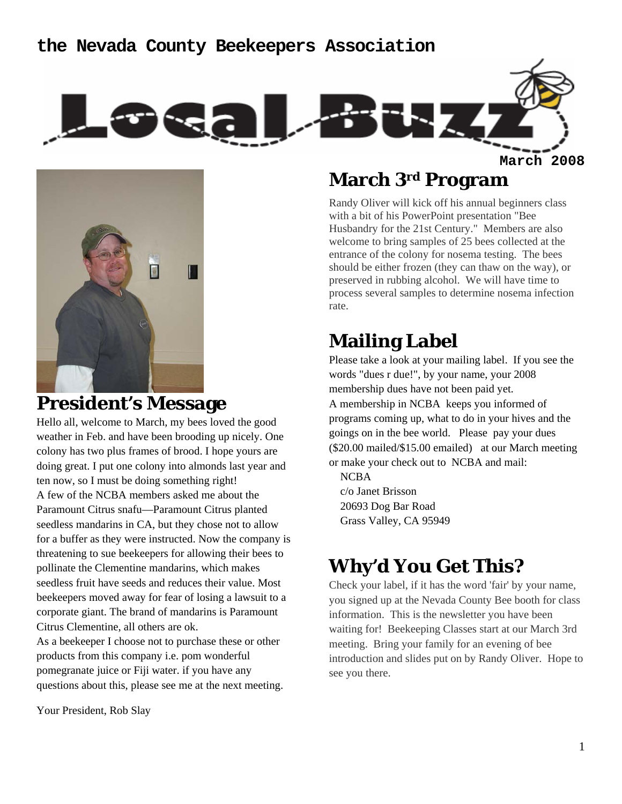### **the Nevada County Beekeepers Association**





### **President's Message**

Hello all, welcome to March, my bees loved the good weather in Feb. and have been brooding up nicely. One colony has two plus frames of brood. I hope yours are doing great. I put one colony into almonds last year and ten now, so I must be doing something right! A few of the NCBA members asked me about the Paramount Citrus snafu—Paramount Citrus planted seedless mandarins in CA, but they chose not to allow for a buffer as they were instructed. Now the company is threatening to sue beekeepers for allowing their bees to pollinate the Clementine mandarins, which makes seedless fruit have seeds and reduces their value. Most beekeepers moved away for fear of losing a lawsuit to a corporate giant. The brand of mandarins is Paramount Citrus Clementine, all others are ok.

As a beekeeper I choose not to purchase these or other products from this company i.e. pom wonderful pomegranate juice or Fiji water. if you have any questions about this, please see me at the next meeting.

Your President, Rob Slay

### **March 3rd Program**

Randy Oliver will kick off his annual beginners class with a bit of his PowerPoint presentation "Bee Husbandry for the 21st Century." Members are also welcome to bring samples of 25 bees collected at the entrance of the colony for nosema testing. The bees should be either frozen (they can thaw on the way), or preserved in rubbing alcohol. We will have time to process several samples to determine nosema infection rate.

## **Mailing Label**

Please take a look at your mailing label. If you see the words "dues r due!", by your name, your 2008 membership dues have not been paid yet. A membership in NCBA keeps you informed of programs coming up, what to do in your hives and the goings on in the bee world. Please pay your dues (\$20.00 mailed/\$15.00 emailed) at our March meeting or make your check out to NCBA and mail:

**NCBA**  c/o Janet Brisson 20693 Dog Bar Road Grass Valley, CA 95949

# **Why'd You Get This?**

Check your label, if it has the word 'fair' by your name, you signed up at the Nevada County Bee booth for class information. This is the newsletter you have been waiting for! Beekeeping Classes start at our March 3rd meeting. Bring your family for an evening of bee introduction and slides put on by Randy Oliver. Hope to see you there.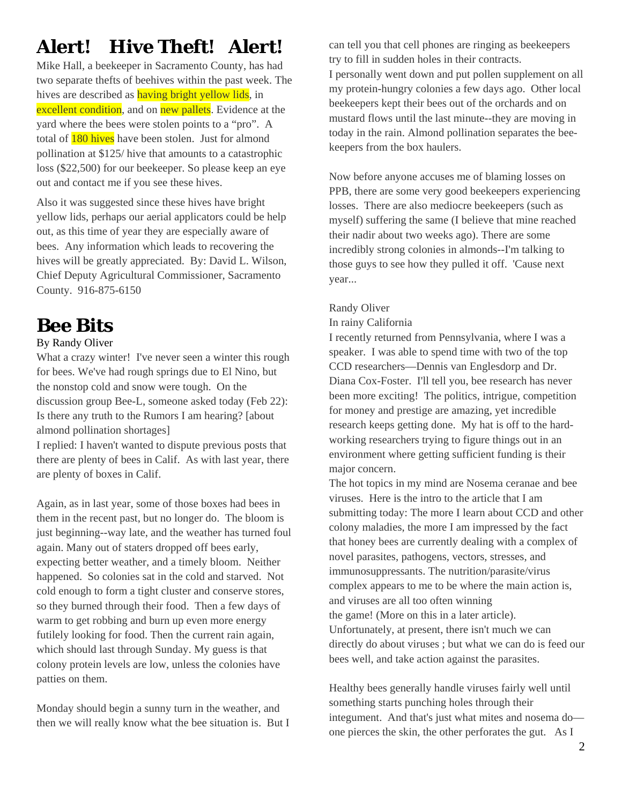# **Alert! Hive Theft! Alert!**

Mike Hall, a beekeeper in Sacramento County, has had two separate thefts of beehives within the past week. The hives are described as having bright yellow lids, in excellent condition, and on new pallets. Evidence at the yard where the bees were stolen points to a "pro". A total of 180 hives have been stolen. Just for almond pollination at \$125/ hive that amounts to a catastrophic loss (\$22,500) for our beekeeper. So please keep an eye out and contact me if you see these hives.

Also it was suggested since these hives have bright yellow lids, perhaps our aerial applicators could be help out, as this time of year they are especially aware of bees. Any information which leads to recovering the hives will be greatly appreciated. By: David L. Wilson, Chief Deputy Agricultural Commissioner, Sacramento County. 916-875-6150

## **Bee Bits**

#### By Randy Oliver

What a crazy winter! I've never seen a winter this rough for bees. We've had rough springs due to El Nino, but the nonstop cold and snow were tough. On the discussion group Bee-L, someone asked today (Feb 22): Is there any truth to the Rumors I am hearing? [about almond pollination shortages]

I replied: I haven't wanted to dispute previous posts that there are plenty of bees in Calif. As with last year, there are plenty of boxes in Calif.

Again, as in last year, some of those boxes had bees in them in the recent past, but no longer do. The bloom is just beginning--way late, and the weather has turned foul again. Many out of staters dropped off bees early, expecting better weather, and a timely bloom. Neither happened. So colonies sat in the cold and starved. Not cold enough to form a tight cluster and conserve stores, so they burned through their food. Then a few days of warm to get robbing and burn up even more energy futilely looking for food. Then the current rain again, which should last through Sunday. My guess is that colony protein levels are low, unless the colonies have patties on them.

Monday should begin a sunny turn in the weather, and then we will really know what the bee situation is. But I can tell you that cell phones are ringing as beekeepers try to fill in sudden holes in their contracts.

I personally went down and put pollen supplement on all my protein-hungry colonies a few days ago. Other local beekeepers kept their bees out of the orchards and on mustard flows until the last minute--they are moving in today in the rain. Almond pollination separates the beekeepers from the box haulers.

Now before anyone accuses me of blaming losses on PPB, there are some very good beekeepers experiencing losses. There are also mediocre beekeepers (such as myself) suffering the same (I believe that mine reached their nadir about two weeks ago). There are some incredibly strong colonies in almonds--I'm talking to those guys to see how they pulled it off. 'Cause next year...

#### Randy Oliver

#### In rainy California

I recently returned from Pennsylvania, where I was a speaker. I was able to spend time with two of the top CCD researchers—Dennis van Englesdorp and Dr. Diana Cox-Foster. I'll tell you, bee research has never been more exciting! The politics, intrigue, competition for money and prestige are amazing, yet incredible research keeps getting done. My hat is off to the hardworking researchers trying to figure things out in an environment where getting sufficient funding is their major concern.

The hot topics in my mind are Nosema ceranae and bee viruses. Here is the intro to the article that I am submitting today: The more I learn about CCD and other colony maladies, the more I am impressed by the fact that honey bees are currently dealing with a complex of novel parasites, pathogens, vectors, stresses, and immunosuppressants. The nutrition/parasite/virus complex appears to me to be where the main action is, and viruses are all too often winning the game! (More on this in a later article). Unfortunately, at present, there isn't much we can directly do about viruses ; but what we can do is feed our bees well, and take action against the parasites.

Healthy bees generally handle viruses fairly well until something starts punching holes through their integument. And that's just what mites and nosema do one pierces the skin, the other perforates the gut. As I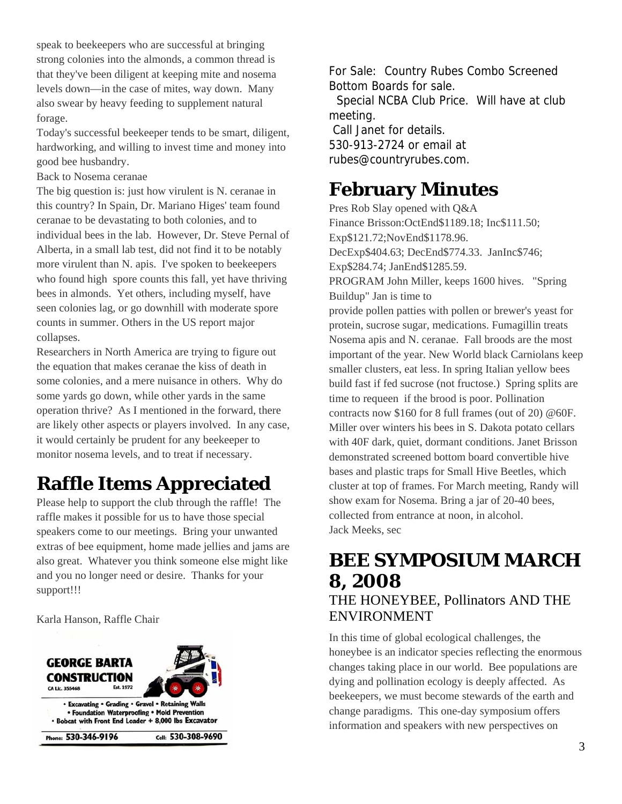speak to beekeepers who are successful at bringing strong colonies into the almonds, a common thread is that they've been diligent at keeping mite and nosema levels down—in the case of mites, way down. Many also swear by heavy feeding to supplement natural forage.

Today's successful beekeeper tends to be smart, diligent, hardworking, and willing to invest time and money into good bee husbandry.

Back to Nosema ceranae

The big question is: just how virulent is N. ceranae in this country? In Spain, Dr. Mariano Higes' team found ceranae to be devastating to both colonies, and to individual bees in the lab. However, Dr. Steve Pernal of Alberta, in a small lab test, did not find it to be notably more virulent than N. apis. I've spoken to beekeepers who found high spore counts this fall, yet have thriving bees in almonds. Yet others, including myself, have seen colonies lag, or go downhill with moderate spore counts in summer. Others in the US report major collapses.

Researchers in North America are trying to figure out the equation that makes ceranae the kiss of death in some colonies, and a mere nuisance in others. Why do some yards go down, while other yards in the same operation thrive? As I mentioned in the forward, there are likely other aspects or players involved. In any case, it would certainly be prudent for any beekeeper to monitor nosema levels, and to treat if necessary.

# **Raffle Items Appreciated**

Please help to support the club through the raffle! The raffle makes it possible for us to have those special speakers come to our meetings. Bring your unwanted extras of bee equipment, home made jellies and jams are also great. Whatever you think someone else might like and you no longer need or desire. Thanks for your support!!!

Karla Hanson, Raffle Chair



For Sale: Country Rubes Combo Screened Bottom Boards for sale.

 Special NCBA Club Price. Will have at club meeting.

 Call Janet for details. 530-913-2724 or email at rubes@countryrubes.com.

## **February Minutes**

Pres Rob Slay opened with Q&A Finance Brisson:OctEnd\$1189.18; Inc\$111.50; Exp\$121.72;NovEnd\$1178.96. DecExp\$404.63; DecEnd\$774.33. JanInc\$746; Exp\$284.74; JanEnd\$1285.59. PROGRAM John Miller, keeps 1600 hives. "Spring Buildup" Jan is time to provide pollen patties with pollen or brewer's yeast for protein, sucrose sugar, medications. Fumagillin treats Nosema apis and N. ceranae. Fall broods are the most important of the year. New World black Carniolans keep smaller clusters, eat less. In spring Italian yellow bees build fast if fed sucrose (not fructose.) Spring splits are time to requeen if the brood is poor. Pollination contracts now \$160 for 8 full frames (out of 20) @60F. Miller over winters his bees in S. Dakota potato cellars with 40F dark, quiet, dormant conditions. Janet Brisson demonstrated screened bottom board convertible hive bases and plastic traps for Small Hive Beetles, which cluster at top of frames. For March meeting, Randy will show exam for Nosema. Bring a jar of 20-40 bees, collected from entrance at noon, in alcohol. Jack Meeks, sec

### **BEE SYMPOSIUM MARCH 8, 2008**  THE HONEYBEE, Pollinators AND THE ENVIRONMENT

In this time of global ecological challenges, the honeybee is an indicator species reflecting the enormous changes taking place in our world. Bee populations are dying and pollination ecology is deeply affected. As beekeepers, we must become stewards of the earth and change paradigms. This one-day symposium offers information and speakers with new perspectives on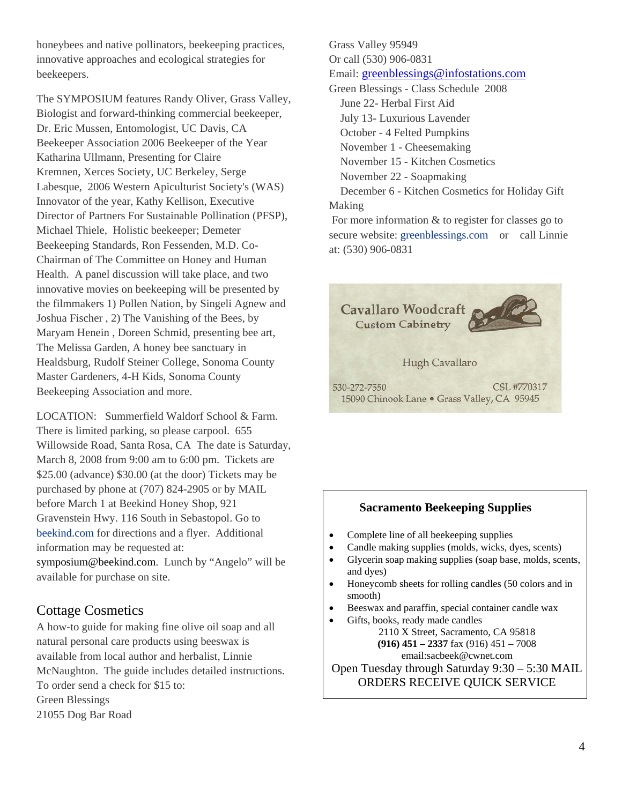honeybees and native pollinators, beekeeping practices, innovative approaches and ecological strategies for beekeepers.

The SYMPOSIUM features Randy Oliver, Grass Valley, Biologist and forward-thinking commercial beekeeper, Dr. Eric Mussen, Entomologist, UC Davis, CA Beekeeper Association 2006 Beekeeper of the Year Katharina Ullmann, Presenting for Claire Kremnen, Xerces Society, UC Berkeley, Serge Labesque, 2006 Western Apiculturist Society's (WAS) Innovator of the year, Kathy Kellison, Executive Director of Partners For Sustainable Pollination (PFSP), Michael Thiele, Holistic beekeeper; Demeter Beekeeping Standards, Ron Fessenden, M.D. Co-Chairman of The Committee on Honey and Human Health. A panel discussion will take place, and two innovative movies on beekeeping will be presented by the filmmakers 1) Pollen Nation, by Singeli Agnew and Joshua Fischer , 2) The Vanishing of the Bees, by Maryam Henein , Doreen Schmid, presenting bee art, The Melissa Garden, A honey bee sanctuary in Healdsburg, Rudolf Steiner College, Sonoma County Master Gardeners, 4-H Kids, Sonoma County Beekeeping Association and more.

LOCATION: Summerfield Waldorf School & Farm. There is limited parking, so please carpool. 655 Willowside Road, Santa Rosa, CA The date is Saturday, March 8, 2008 from 9:00 am to 6:00 pm. Tickets are \$25.00 (advance) \$30.00 (at the door) Tickets may be purchased by phone at (707) 824-2905 or by MAIL before March 1 at Beekind Honey Shop, 921 Gravenstein Hwy. 116 South in Sebastopol. Go to beekind.com for directions and a flyer. Additional information may be requested at: symposium@beekind.com. Lunch by "Angelo" will be available for purchase on site.

#### Cottage Cosmetics

A how-to guide for making fine olive oil soap and all natural personal care products using beeswax is available from local author and herbalist, Linnie McNaughton. The guide includes detailed instructions. To order send a check for \$15 to: Green Blessings 21055 Dog Bar Road

Grass Valley 95949 Or call (530) 906-0831 Email: greenblessings@infostations.com Green Blessings - Class Schedule 2008 June 22- Herbal First Aid

July 13- Luxurious Lavender

October - 4 Felted Pumpkins

November 1 - Cheesemaking

November 15 - Kitchen Cosmetics

November 22 - Soapmaking

 December 6 - Kitchen Cosmetics for Holiday Gift Making

 For more information & to register for classes go to secure website: greenblessings.com or call Linnie at: (530) 906-0831



#### **Sacramento Beekeeping Supplies**

- Complete line of all beekeeping supplies
- Candle making supplies (molds, wicks, dyes, scents)
- Glycerin soap making supplies (soap base, molds, scents, and dyes)
- Honeycomb sheets for rolling candles (50 colors and in smooth)
- Beeswax and paraffin, special container candle wax
- Gifts, books, ready made candles 2110 X Street, Sacramento, CA 95818 **(916) 451 – 2337** fax (916) 451 – 7008 email:sacbeek@cwnet.com Open Tuesday through Saturday 9:30 – 5:30 MAIL ORDERS RECEIVE QUICK SERVICE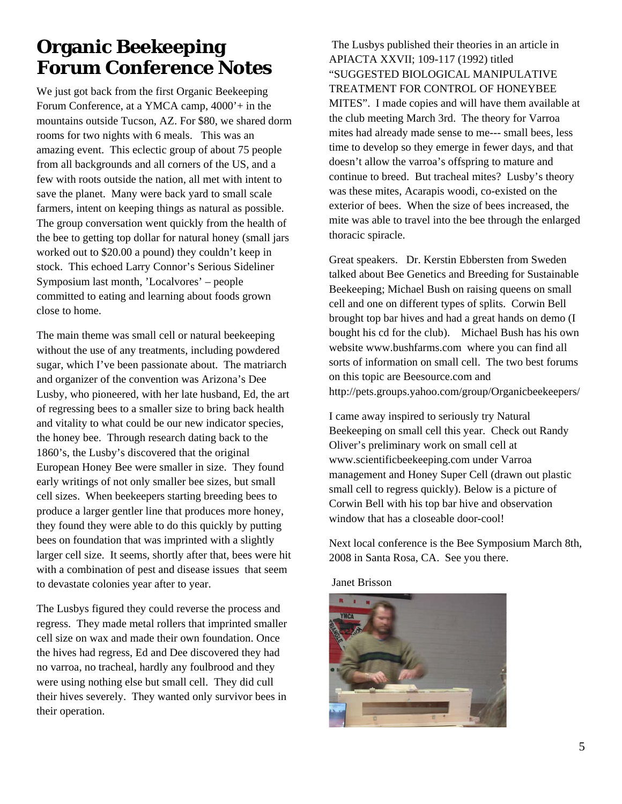## **Organic Beekeeping Forum Conference Notes**

We just got back from the first Organic Beekeeping Forum Conference, at a YMCA camp, 4000'+ in the mountains outside Tucson, AZ. For \$80, we shared dorm rooms for two nights with 6 meals. This was an amazing event. This eclectic group of about 75 people from all backgrounds and all corners of the US, and a few with roots outside the nation, all met with intent to save the planet. Many were back yard to small scale farmers, intent on keeping things as natural as possible. The group conversation went quickly from the health of the bee to getting top dollar for natural honey (small jars worked out to \$20.00 a pound) they couldn't keep in stock. This echoed Larry Connor's Serious Sideliner Symposium last month, 'Localvores' – people committed to eating and learning about foods grown close to home.

The main theme was small cell or natural beekeeping without the use of any treatments, including powdered sugar, which I've been passionate about. The matriarch and organizer of the convention was Arizona's Dee Lusby, who pioneered, with her late husband, Ed, the art of regressing bees to a smaller size to bring back health and vitality to what could be our new indicator species, the honey bee. Through research dating back to the 1860's, the Lusby's discovered that the original European Honey Bee were smaller in size. They found early writings of not only smaller bee sizes, but small cell sizes. When beekeepers starting breeding bees to produce a larger gentler line that produces more honey, they found they were able to do this quickly by putting bees on foundation that was imprinted with a slightly larger cell size. It seems, shortly after that, bees were hit with a combination of pest and disease issues that seem to devastate colonies year after to year.

The Lusbys figured they could reverse the process and regress. They made metal rollers that imprinted smaller cell size on wax and made their own foundation. Once the hives had regress, Ed and Dee discovered they had no varroa, no tracheal, hardly any foulbrood and they were using nothing else but small cell. They did cull their hives severely. They wanted only survivor bees in their operation.

 The Lusbys published their theories in an article in APIACTA XXVII; 109-117 (1992) titled "SUGGESTED BIOLOGICAL MANIPULATIVE TREATMENT FOR CONTROL OF HONEYBEE MITES". I made copies and will have them available at the club meeting March 3rd. The theory for Varroa mites had already made sense to me--- small bees, less time to develop so they emerge in fewer days, and that doesn't allow the varroa's offspring to mature and continue to breed. But tracheal mites? Lusby's theory was these mites, Acarapis woodi, co-existed on the exterior of bees. When the size of bees increased, the mite was able to travel into the bee through the enlarged thoracic spiracle.

Great speakers. Dr. Kerstin Ebbersten from Sweden talked about Bee Genetics and Breeding for Sustainable Beekeeping; Michael Bush on raising queens on small cell and one on different types of splits. Corwin Bell brought top bar hives and had a great hands on demo (I bought his cd for the club). Michael Bush has his own website www.bushfarms.com where you can find all sorts of information on small cell. The two best forums on this topic are Beesource.com and http://pets.groups.yahoo.com/group/Organicbeekeepers/

I came away inspired to seriously try Natural Beekeeping on small cell this year. Check out Randy Oliver's preliminary work on small cell at www.scientificbeekeeping.com under Varroa management and Honey Super Cell (drawn out plastic small cell to regress quickly). Below is a picture of Corwin Bell with his top bar hive and observation window that has a closeable door-cool!

Next local conference is the Bee Symposium March 8th, 2008 in Santa Rosa, CA. See you there.

Janet Brisson